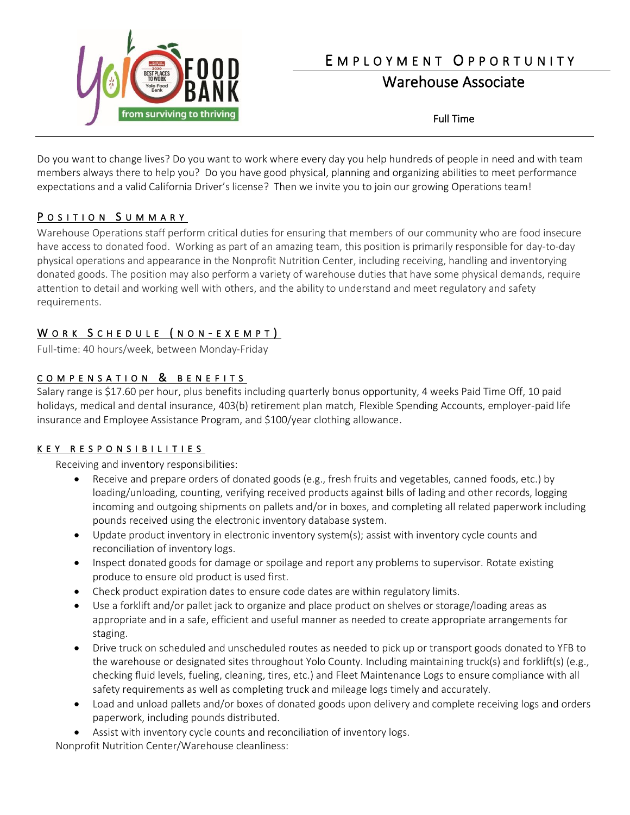

# E M P L O Y M E N T O P P O R T U N I T Y

# Warehouse Associate

Full Time

Do you want to change lives? Do you want to work where every day you help hundreds of people in need and with team members always there to help you? Do you have good physical, planning and organizing abilities to meet performance expectations and a valid California Driver's license? Then we invite you to join our growing Operations team!

### POSITION SUMMARY

Warehouse Operations staff perform critical duties for ensuring that members of our community who are food insecure have access to donated food. Working as part of an amazing team, this position is primarily responsible for day-to-day physical operations and appearance in the Nonprofit Nutrition Center, including receiving, handling and inventorying donated goods. The position may also perform a variety of warehouse duties that have some physical demands, require attention to detail and working well with others, and the ability to understand and meet regulatory and safety requirements.

## WORK SCHEDULE (NON-EXEMPT)

Full-time: 40 hours/week, between Monday-Friday

## COMPENSATION & BENEFITS

Salary range is \$17.60 per hour, plus benefits including quarterly bonus opportunity, 4 weeks Paid Time Off, 10 paid holidays, medical and dental insurance, 403(b) retirement plan match, Flexible Spending Accounts, employer-paid life insurance and Employee Assistance Program, and \$100/year clothing allowance.

#### K E Y R E S P O N S I B I L I T I E S

Receiving and inventory responsibilities:

- Receive and prepare orders of donated goods (e.g., fresh fruits and vegetables, canned foods, etc.) by loading/unloading, counting, verifying received products against bills of lading and other records, logging incoming and outgoing shipments on pallets and/or in boxes, and completing all related paperwork including pounds received using the electronic inventory database system.
- Update product inventory in electronic inventory system(s); assist with inventory cycle counts and reconciliation of inventory logs.
- Inspect donated goods for damage or spoilage and report any problems to supervisor. Rotate existing produce to ensure old product is used first.
- Check product expiration dates to ensure code dates are within regulatory limits.
- Use a forklift and/or pallet jack to organize and place product on shelves or storage/loading areas as appropriate and in a safe, efficient and useful manner as needed to create appropriate arrangements for staging.
- Drive truck on scheduled and unscheduled routes as needed to pick up or transport goods donated to YFB to the warehouse or designated sites throughout Yolo County. Including maintaining truck(s) and forklift(s) (e.g., checking fluid levels, fueling, cleaning, tires, etc.) and Fleet Maintenance Logs to ensure compliance with all safety requirements as well as completing truck and mileage logs timely and accurately.
- Load and unload pallets and/or boxes of donated goods upon delivery and complete receiving logs and orders paperwork, including pounds distributed.
- Assist with inventory cycle counts and reconciliation of inventory logs.

Nonprofit Nutrition Center/Warehouse cleanliness: